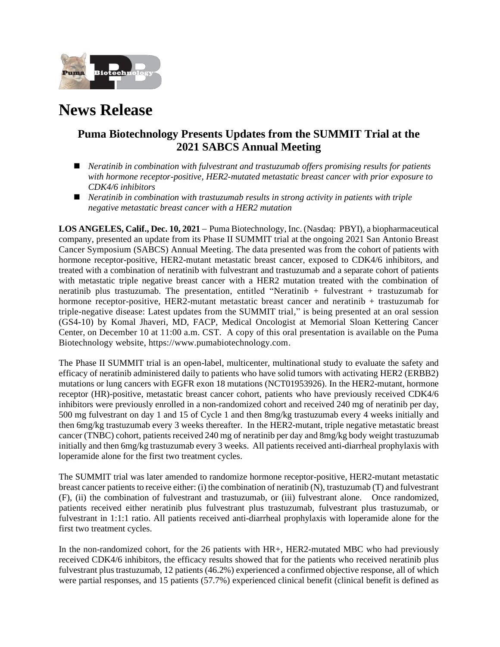

# **News Release**

## **Puma Biotechnology Presents Updates from the SUMMIT Trial at the 2021 SABCS Annual Meeting**

- ◼ *Neratinib in combination with fulvestrant and trastuzumab offers promising results for patients with hormone receptor-positive, HER2-mutated metastatic breast cancer with prior exposure to CDK4/6 inhibitors*
- ◼ *Neratinib in combination with trastuzumab results in strong activity in patients with triple negative metastatic breast cancer with a HER2 mutation*

**LOS ANGELES, Calif., Dec. 10, 2021** − Puma Biotechnology, Inc. (Nasdaq: PBYI), a biopharmaceutical company, presented an update from its Phase II SUMMIT trial at the ongoing 2021 San Antonio Breast Cancer Symposium (SABCS) Annual Meeting. The data presented was from the cohort of patients with hormone receptor-positive, HER2-mutant metastatic breast cancer, exposed to CDK4/6 inhibitors, and treated with a combination of neratinib with fulvestrant and trastuzumab and a separate cohort of patients with metastatic triple negative breast cancer with a HER2 mutation treated with the combination of neratinib plus trastuzumab. The presentation, entitled "Neratinib + fulvestrant + trastuzumab for hormone receptor-positive, HER2-mutant metastatic breast cancer and neratinib + trastuzumab for triple-negative disease: Latest updates from the SUMMIT trial," is being presented at an oral session (GS4-10) by Komal Jhaveri, MD, FACP, Medical Oncologist at Memorial Sloan Kettering Cancer Center, on December 10 at 11:00 a.m. CST. A copy of this oral presentation is available on the Puma Biotechnology website, https://www.pumabiotechnology.com.

The Phase II SUMMIT trial is an open-label, multicenter, multinational study to evaluate the safety and efficacy of neratinib administered daily to patients who have solid tumors with activating HER2 (ERBB2) mutations or lung cancers with EGFR exon 18 mutations (NCT01953926). In the HER2-mutant, hormone receptor (HR)-positive, metastatic breast cancer cohort, patients who have previously received CDK4/6 inhibitors were previously enrolled in a non-randomized cohort and received 240 mg of neratinib per day, 500 mg fulvestrant on day 1 and 15 of Cycle 1 and then 8mg/kg trastuzumab every 4 weeks initially and then 6mg/kg trastuzumab every 3 weeks thereafter. In the HER2-mutant, triple negative metastatic breast cancer (TNBC) cohort, patients received 240 mg of neratinib per day and 8mg/kg body weight trastuzumab initially and then 6mg/kg trastuzumab every 3 weeks. All patients received anti-diarrheal prophylaxis with loperamide alone for the first two treatment cycles.

The SUMMIT trial was later amended to randomize hormone receptor-positive, HER2-mutant metastatic breast cancer patients to receive either: (i) the combination of neratinib (N), trastuzumab (T) and fulvestrant (F), (ii) the combination of fulvestrant and trastuzumab, or (iii) fulvestrant alone. Once randomized, patients received either neratinib plus fulvestrant plus trastuzumab, fulvestrant plus trastuzumab, or fulvestrant in 1:1:1 ratio. All patients received anti-diarrheal prophylaxis with loperamide alone for the first two treatment cycles.

In the non-randomized cohort, for the 26 patients with HR+, HER2*-*mutated MBC who had previously received CDK4/6 inhibitors, the efficacy results showed that for the patients who received neratinib plus fulvestrant plus trastuzumab, 12 patients (46.2%) experienced a confirmed objective response, all of which were partial responses, and 15 patients (57.7%) experienced clinical benefit (clinical benefit is defined as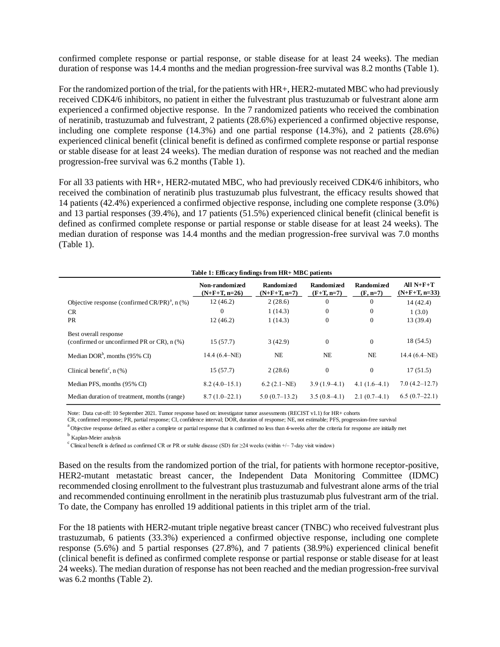confirmed complete response or partial response, or stable disease for at least 24 weeks). The median duration of response was 14.4 months and the median progression-free survival was 8.2 months (Table 1).

For the randomized portion of the trial, for the patients with HR+, HER2*-*mutated MBC who had previously received CDK4/6 inhibitors, no patient in either the fulvestrant plus trastuzumab or fulvestrant alone arm experienced a confirmed objective response. In the 7 randomized patients who received the combination of neratinib, trastuzumab and fulvestrant, 2 patients (28.6%) experienced a confirmed objective response, including one complete response (14.3%) and one partial response (14.3%), and 2 patients (28.6%) experienced clinical benefit (clinical benefit is defined as confirmed complete response or partial response or stable disease for at least 24 weeks). The median duration of response was not reached and the median progression-free survival was 6.2 months (Table 1).

For all 33 patients with HR+, HER2*-*mutated MBC, who had previously received CDK4/6 inhibitors, who received the combination of neratinib plus trastuzumab plus fulvestrant, the efficacy results showed that 14 patients (42.4%) experienced a confirmed objective response, including one complete response (3.0%) and 13 partial responses (39.4%), and 17 patients (51.5%) experienced clinical benefit (clinical benefit is defined as confirmed complete response or partial response or stable disease for at least 24 weeks). The median duration of response was 14.4 months and the median progression-free survival was 7.0 months (Table 1).

| Table 1: Efficacy findings from HR+ MBC patients                         |                                   |                                     |                                   |                                 |                                |  |  |
|--------------------------------------------------------------------------|-----------------------------------|-------------------------------------|-----------------------------------|---------------------------------|--------------------------------|--|--|
|                                                                          | Non-randomized<br>$(N+F+T, n=26)$ | <b>Randomized</b><br>$(N+F+T, n=7)$ | <b>Randomized</b><br>$(F+T, n=7)$ | <b>Randomized</b><br>$(F, n=7)$ | All $N+F+T$<br>$(N+F+T, n=33)$ |  |  |
| Objective response (confirmed $CR/PR)^{a}$ , n (%)                       | 12(46.2)                          | 2(28.6)                             | $\overline{0}$                    | $\Omega$                        | 14 (42.4)                      |  |  |
| <b>CR</b>                                                                | $\mathbf{0}$                      | 1(14.3)                             | $\overline{0}$                    | $\Omega$                        | 1(3.0)                         |  |  |
| <b>PR</b>                                                                | 12(46.2)                          | 1(14.3)                             | $\mathbf{0}$                      | $\mathbf{0}$                    | 13 (39.4)                      |  |  |
| Best overall response<br>(confirmed or unconfirmed PR or $CR$ ), $n$ (%) | 15(57.7)                          | 3(42.9)                             | $\boldsymbol{0}$                  | $\Omega$                        | 18 (54.5)                      |  |  |
| Median DOR <sup>b</sup> , months $(95\% \text{ CI})$                     | 14.4 $(6.4-NE)$                   | <b>NE</b>                           | <b>NE</b>                         | <b>NE</b>                       | 14.4 $(6.4-NE)$                |  |  |
| Clinical benefit <sup>c</sup> , $n$ (%)                                  | 15(57.7)                          | 2(28.6)                             | $\boldsymbol{0}$                  | $\mathbf{0}$                    | 17(51.5)                       |  |  |
| Median PFS, months (95% CI)                                              | $8.2(4.0-15.1)$                   | $6.2 (2.1-NE)$                      | $3.9(1.9-4.1)$                    | $4.1(1.6-4.1)$                  | 7.0(4.2–12.7)                  |  |  |
| Median duration of treatment, months (range)                             | $8.7(1.0-22.1)$                   | $5.0(0.7-13.2)$                     | $3.5(0.8-4.1)$                    | $2.1(0.7-4.1)$                  | $6.5(0.7-22.1)$                |  |  |

Note: Data cut-off: 10 September 2021. Tumor response based on: investigator tumor assessments (RECIST v1.1) for HR+ cohorts

CR, confirmed response; PR, partial response; CI, confidence interval; DOR, duration of response; NE, not estimable; PFS, progression-free survival

<sup>a</sup> Objective response defined as either a complete or partial response that is confirmed no less than 4-weeks after the criteria for response are initially met

<sup>b</sup> Kaplan-Meier analysis

<sup>c</sup> Clinical benefit is defined as confirmed CR or PR or stable disease (SD) for  $\geq$ 24 weeks (within +/– 7-day visit window)

Based on the results from the randomized portion of the trial, for patients with hormone receptor-positive, HER2-mutant metastatic breast cancer, the Independent Data Monitoring Committee (IDMC) recommended closing enrollment to the fulvestrant plus trastuzumab and fulvestrant alone arms of the trial and recommended continuing enrollment in the neratinib plus trastuzumab plus fulvestrant arm of the trial. To date, the Company has enrolled 19 additional patients in this triplet arm of the trial.

For the 18 patients with HER2*-*mutant triple negative breast cancer (TNBC) who received fulvestrant plus trastuzumab, 6 patients (33.3%) experienced a confirmed objective response, including one complete response (5.6%) and 5 partial responses (27.8%), and 7 patients (38.9%) experienced clinical benefit (clinical benefit is defined as confirmed complete response or partial response or stable disease for at least 24 weeks). The median duration of response has not been reached and the median progression-free survival was 6.2 months (Table 2).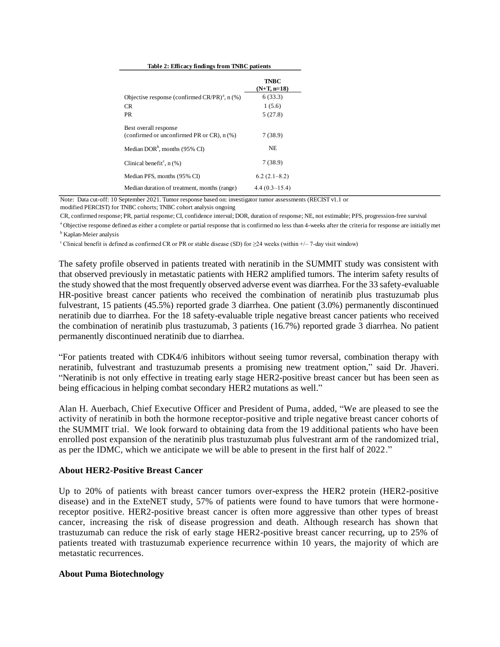|  | Table 2: Efficacy findings from TNBC patients |
|--|-----------------------------------------------|
|  |                                               |

|                                                                            | TNBC<br>$(N+T, n=18)$ |
|----------------------------------------------------------------------------|-----------------------|
| Objective response (confirmed $CR/PR$ ) <sup>a</sup> , n (%)               | 6(33.3)               |
| CR.                                                                        | 1(5.6)                |
| PR.                                                                        | 5(27.8)               |
| Best overall response<br>(confirmed or unconfirmed PR or $CR$ ), $n$ $%$ ) | 7(38.9)               |
| Median DOR <sup>b</sup> , months (95% CI)                                  | NE.                   |
| Clinical benefit <sup>c</sup> , $n$ (%)                                    | 7(38.9)               |
| Median PFS, months (95% CI)                                                | $6.2(2.1-8.2)$        |
| Median duration of treatment, months (range)                               | $4.4(0.3-15.4)$       |

Note: Data cut-off: 10 September 2021. Tumor response based on: investigator tumor assessments (RECIST v1.1 or

modified PERCIST) for TNBC cohorts; TNBC cohort analysis ongoing

CR, confirmed response; PR, partial response; CI, confidence interval; DOR, duration of response; NE, not estimable; PFS, progression-free survival

<sup>a</sup> Objective response defined as either a complete or partial response that is confirmed no less than 4-weeks after the criteria for response are initially met <sup>b</sup> Kaplan-Meier analysis

<sup>c</sup> Clinical benefit is defined as confirmed CR or PR or stable disease (SD) for  $\geq$ 24 weeks (within +/– 7-day visit window)

The safety profile observed in patients treated with neratinib in the SUMMIT study was consistent with that observed previously in metastatic patients with HER2 amplified tumors. The interim safety results of the study showed that the most frequently observed adverse event was diarrhea. For the 33 safety-evaluable HR-positive breast cancer patients who received the combination of neratinib plus trastuzumab plus fulvestrant, 15 patients (45.5%) reported grade 3 diarrhea. One patient (3.0%) permanently discontinued neratinib due to diarrhea. For the 18 safety-evaluable triple negative breast cancer patients who received the combination of neratinib plus trastuzumab, 3 patients (16.7%) reported grade 3 diarrhea. No patient permanently discontinued neratinib due to diarrhea.

"For patients treated with CDK4/6 inhibitors without seeing tumor reversal, combination therapy with neratinib, fulvestrant and trastuzumab presents a promising new treatment option," said Dr. Jhaveri. "Neratinib is not only effective in treating early stage HER2-positive breast cancer but has been seen as being efficacious in helping combat secondary HER2 mutations as well."

Alan H. Auerbach, Chief Executive Officer and President of Puma, added, "We are pleased to see the activity of neratinib in both the hormone receptor-positive and triple negative breast cancer cohorts of the SUMMIT trial. We look forward to obtaining data from the 19 additional patients who have been enrolled post expansion of the neratinib plus trastuzumab plus fulvestrant arm of the randomized trial, as per the IDMC, which we anticipate we will be able to present in the first half of 2022."

#### **About HER2-Positive Breast Cancer**

Up to 20% of patients with breast cancer tumors over-express the HER2 protein (HER2-positive disease) and in the ExteNET study, 57% of patients were found to have tumors that were hormonereceptor positive. HER2-positive breast cancer is often more aggressive than other types of breast cancer, increasing the risk of disease progression and death. Although research has shown that trastuzumab can reduce the risk of early stage HER2-positive breast cancer recurring, up to 25% of patients treated with trastuzumab experience recurrence within 10 years, the majority of which are metastatic recurrences.

#### **About Puma Biotechnology**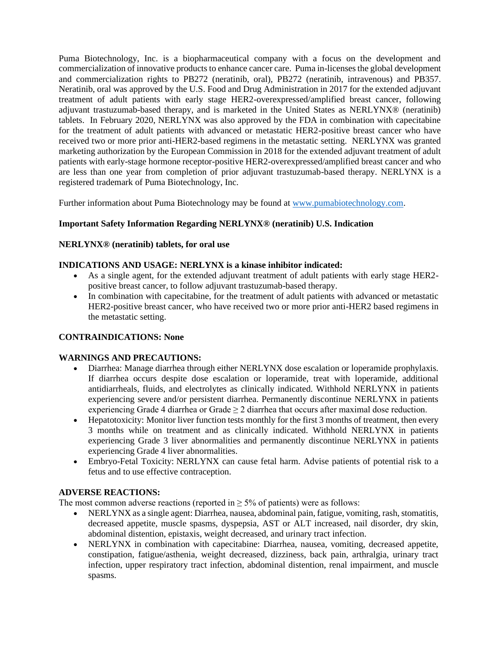Puma Biotechnology, Inc. is a biopharmaceutical company with a focus on the development and commercialization of innovative products to enhance cancer care. Puma in-licenses the global development and commercialization rights to PB272 (neratinib, oral), PB272 (neratinib, intravenous) and PB357. Neratinib, oral was approved by the U.S. Food and Drug Administration in 2017 for the extended adjuvant treatment of adult patients with early stage HER2-overexpressed/amplified breast cancer, following adjuvant trastuzumab-based therapy, and is marketed in the United States as NERLYNX® (neratinib) tablets. In February 2020, NERLYNX was also approved by the FDA in combination with capecitabine for the treatment of adult patients with advanced or metastatic HER2-positive breast cancer who have received two or more prior anti-HER2-based regimens in the metastatic setting. NERLYNX was granted marketing authorization by the European Commission in 2018 for the extended adjuvant treatment of adult patients with early-stage hormone receptor-positive HER2-overexpressed/amplified breast cancer and who are less than one year from completion of prior adjuvant trastuzumab-based therapy. NERLYNX is a registered trademark of Puma Biotechnology, Inc.

Further information about Puma Biotechnology may be found at [www.pumabiotechnology.com.](http://www.pumabiotechnology.com/)

## **Important Safety Information Regarding NERLYNX® (neratinib) U.S. Indication**

#### **NERLYNX® (neratinib) tablets, for oral use**

## **INDICATIONS AND USAGE: NERLYNX is a kinase inhibitor indicated:**

- As a single agent, for the extended adjuvant treatment of adult patients with early stage HER2 positive breast cancer, to follow adjuvant trastuzumab-based therapy.
- In combination with capecitabine, for the treatment of adult patients with advanced or metastatic HER2-positive breast cancer, who have received two or more prior anti-HER2 based regimens in the metastatic setting.

## **CONTRAINDICATIONS: None**

#### **WARNINGS AND PRECAUTIONS:**

- Diarrhea: Manage diarrhea through either NERLYNX dose escalation or loperamide prophylaxis. If diarrhea occurs despite dose escalation or loperamide, treat with loperamide, additional antidiarrheals, fluids, and electrolytes as clinically indicated. Withhold NERLYNX in patients experiencing severe and/or persistent diarrhea. Permanently discontinue NERLYNX in patients experiencing Grade 4 diarrhea or Grade ≥ 2 diarrhea that occurs after maximal dose reduction.
- Hepatotoxicity: Monitor liver function tests monthly for the first 3 months of treatment, then every 3 months while on treatment and as clinically indicated. Withhold NERLYNX in patients experiencing Grade 3 liver abnormalities and permanently discontinue NERLYNX in patients experiencing Grade 4 liver abnormalities.
- Embryo-Fetal Toxicity: NERLYNX can cause fetal harm. Advise patients of potential risk to a fetus and to use effective contraception.

#### **ADVERSE REACTIONS:**

The most common adverse reactions (reported in  $\geq$  5% of patients) were as follows:

- NERLYNX as a single agent: Diarrhea, nausea, abdominal pain, fatigue, vomiting, rash, stomatitis, decreased appetite, muscle spasms, dyspepsia, AST or ALT increased, nail disorder, dry skin, abdominal distention, epistaxis, weight decreased, and urinary tract infection.
- NERLYNX in combination with capecitabine: Diarrhea, nausea, vomiting, decreased appetite, constipation, fatigue/asthenia, weight decreased, dizziness, back pain, arthralgia, urinary tract infection, upper respiratory tract infection, abdominal distention, renal impairment, and muscle spasms.